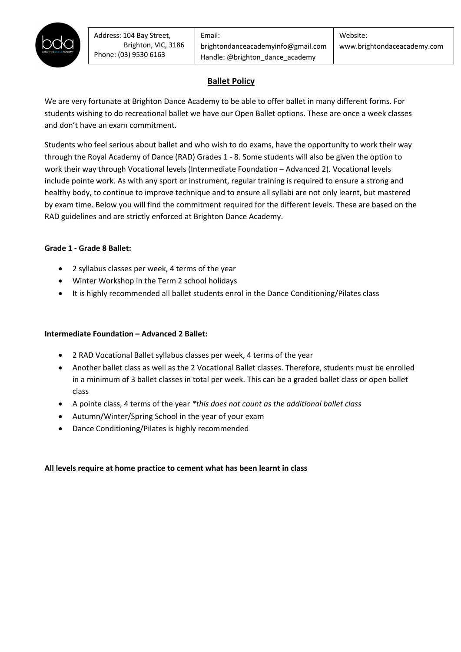

# **Ballet Policy**

students wishing to do recreational ballet we have our Open Ballet options. These are once a week classes We are very fortunate at Brighton Dance Academy to be able to offer ballet in many different forms. For and don't have an exam commitment.

Students who feel serious about ballet and who wish to do exams, have the opportunity to work their way through the Royal Academy of Dance (RAD) Grades 1 - 8. Some students will also be given the option to work their way through Vocational levels (Intermediate Foundation – Advanced 2). Vocational levels include pointe work. As with any sport or instrument, regular training is required to ensure a strong and healthy body, to continue to improve technique and to ensure all syllabi are not only learnt, but mastered by exam time. Below you will find the commitment required for the different levels. These are based on the RAD guidelines and are strictly enforced at Brighton Dance Academy.

### **Grade 1 - Grade 8 Ballet:**

- 2 syllabus classes per week, 4 terms of the year
- Winter Workshop in the Term 2 school holidays
- It is highly recommended all ballet students enrol in the Dance Conditioning/Pilates class

### **Intermediate Foundation – Advanced 2 Ballet:**

- 2 RAD Vocational Ballet syllabus classes per week, 4 terms of the year
- Another ballet class as well as the 2 Vocational Ballet classes. Therefore, students must be enrolled in a minimum of 3 ballet classes in total per week. This can be a graded ballet class or open ballet class
- A pointe class, 4 terms of the year *\*this does not count as the additional ballet class*
- Autumn/Winter/Spring School in the year of your exam
- Dance Conditioning/Pilates is highly recommended

### **All levels require at home practice to cement what has been learnt in class**